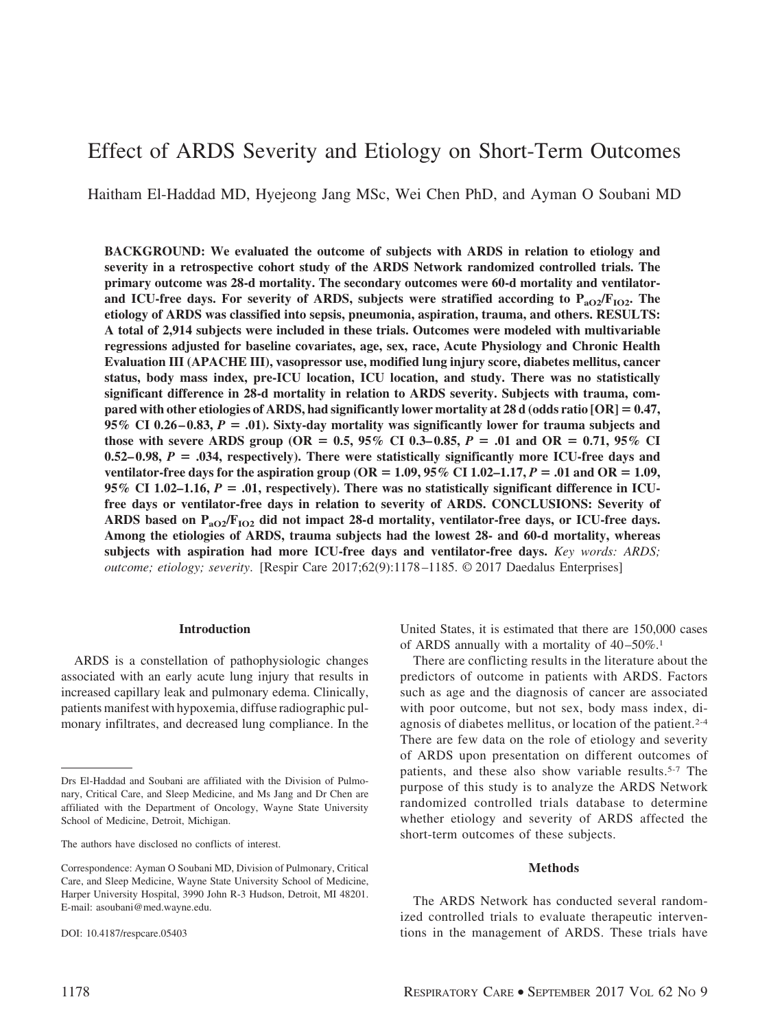# Effect of ARDS Severity and Etiology on Short-Term Outcomes

Haitham El-Haddad MD, Hyejeong Jang MSc, Wei Chen PhD, and Ayman O Soubani MD

**BACKGROUND: We evaluated the outcome of subjects with ARDS in relation to etiology and severity in a retrospective cohort study of the ARDS Network randomized controlled trials. The primary outcome was 28-d mortality. The secondary outcomes were 60-d mortality and ventilator**and ICU-free days. For severity of ARDS, subjects were stratified according to  $P_{aO2}/F_{1O2}$ . The **etiology of ARDS was classified into sepsis, pneumonia, aspiration, trauma, and others. RESULTS: A total of 2,914 subjects were included in these trials. Outcomes were modeled with multivariable regressions adjusted for baseline covariates, age, sex, race, Acute Physiology and Chronic Health Evaluation III (APACHE III), vasopressor use, modified lung injury score, diabetes mellitus, cancer status, body mass index, pre-ICU location, ICU location, and study. There was no statistically significant difference in 28-d mortality in relation to ARDS severity. Subjects with trauma, compared with other etiologies of ARDS, had significantly lower mortality at 28 d (odds ratio [OR]** - **0.47, 95% CI 0.26 – 0.83,** *P* - **.01). Sixty-day mortality was significantly lower for trauma subjects and those with severe ARDS group (OR =**  $0.5$ **,**  $95\%$  **CI**  $0.3-0.85$ **,**  $P = .01$  **and OR =**  $0.71$ **,**  $95\%$  **CI**  $0.52-0.98$ ,  $P = .034$ , respectively). There were statistically significantly more ICU-free days and **ventilator-free days for the aspiration group (OR =**  $1.09$ **,**  $95\%$  **CI 1.02–1.17,**  $P = .01$  **and OR = 1.09, 95% CI 1.02–1.16,**  $P = .01$ **, respectively). There was no statistically significant difference in ICUfree days or ventilator-free days in relation to severity of ARDS. CONCLUSIONS: Severity of** ARDS based on P<sub>aO2</sub>/F<sub>IO2</sub> did not impact 28-d mortality, ventilator-free days, or ICU-free days. **Among the etiologies of ARDS, trauma subjects had the lowest 28- and 60-d mortality, whereas subjects with aspiration had more ICU-free days and ventilator-free days.** *Key words: ARDS; outcome; etiology; severity*. [Respir Care 2017;62(9):1178 –1185. © 2017 Daedalus Enterprises]

### **Introduction**

ARDS is a constellation of pathophysiologic changes associated with an early acute lung injury that results in increased capillary leak and pulmonary edema. Clinically, patients manifest with hypoxemia, diffuse radiographic pulmonary infiltrates, and decreased lung compliance. In the United States, it is estimated that there are 150,000 cases of ARDS annually with a mortality of  $40-50\%$ <sup>1</sup>

There are conflicting results in the literature about the predictors of outcome in patients with ARDS. Factors such as age and the diagnosis of cancer are associated with poor outcome, but not sex, body mass index, diagnosis of diabetes mellitus, or location of the patient.2-4 There are few data on the role of etiology and severity of ARDS upon presentation on different outcomes of patients, and these also show variable results.5-7 The purpose of this study is to analyze the ARDS Network randomized controlled trials database to determine whether etiology and severity of ARDS affected the short-term outcomes of these subjects.

#### **Methods**

The ARDS Network has conducted several randomized controlled trials to evaluate therapeutic interventions in the management of ARDS. These trials have

Drs El-Haddad and Soubani are affiliated with the Division of Pulmonary, Critical Care, and Sleep Medicine, and Ms Jang and Dr Chen are affiliated with the Department of Oncology, Wayne State University School of Medicine, Detroit, Michigan.

The authors have disclosed no conflicts of interest.

Correspondence: Ayman O Soubani MD, Division of Pulmonary, Critical Care, and Sleep Medicine, Wayne State University School of Medicine, Harper University Hospital, 3990 John R-3 Hudson, Detroit, MI 48201. E-mail: asoubani@med.wayne.edu.

DOI: 10.4187/respcare.05403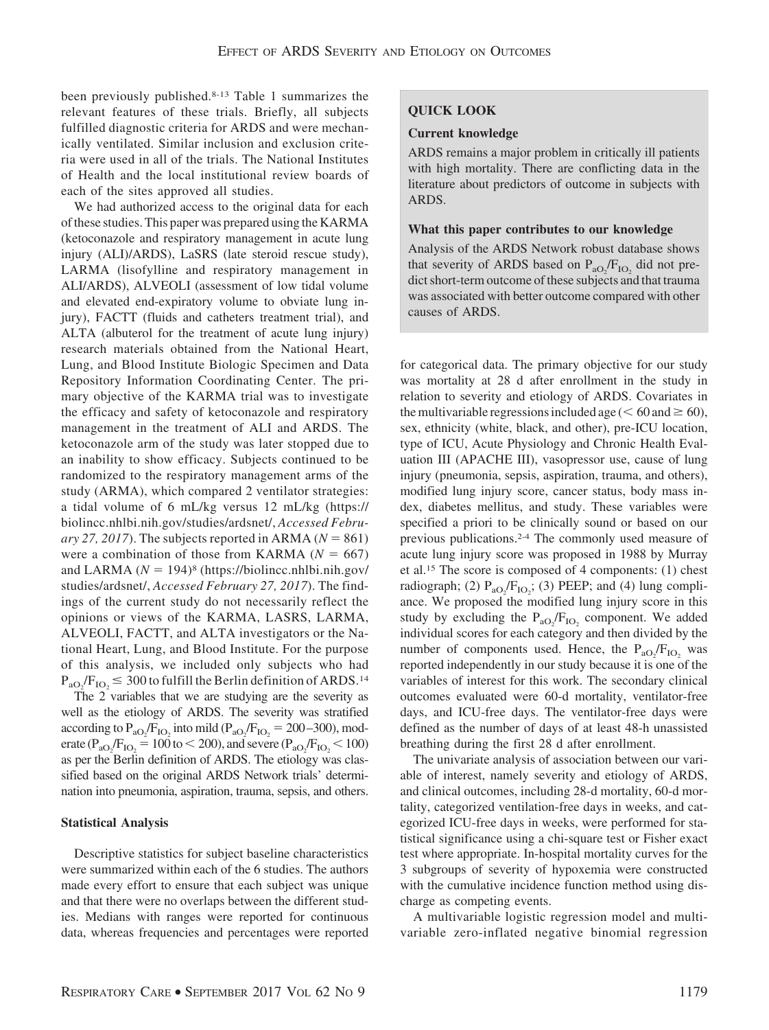been previously published.8-13 Table 1 summarizes the relevant features of these trials. Briefly, all subjects fulfilled diagnostic criteria for ARDS and were mechanically ventilated. Similar inclusion and exclusion criteria were used in all of the trials. The National Institutes of Health and the local institutional review boards of each of the sites approved all studies.

We had authorized access to the original data for each of these studies. This paper was prepared using the KARMA (ketoconazole and respiratory management in acute lung injury (ALI)/ARDS), LaSRS (late steroid rescue study), LARMA (lisofylline and respiratory management in ALI/ARDS), ALVEOLI (assessment of low tidal volume and elevated end-expiratory volume to obviate lung injury), FACTT (fluids and catheters treatment trial), and ALTA (albuterol for the treatment of acute lung injury) research materials obtained from the National Heart, Lung, and Blood Institute Biologic Specimen and Data Repository Information Coordinating Center. The primary objective of the KARMA trial was to investigate the efficacy and safety of ketoconazole and respiratory management in the treatment of ALI and ARDS. The ketoconazole arm of the study was later stopped due to an inability to show efficacy. Subjects continued to be randomized to the respiratory management arms of the study (ARMA), which compared 2 ventilator strategies: a tidal volume of 6 mL/kg versus 12 mL/kg (https:// biolincc.nhlbi.nih.gov/studies/ardsnet/, *Accessed Febru* $ary 27, 2017$ ). The subjects reported in ARMA ( $N = 861$ ) were a combination of those from KARMA  $(N = 667)$ and LARMA  $(N = 194)$ <sup>8</sup> (https://biolincc.nhlbi.nih.gov/ studies/ardsnet/, *Accessed February 27, 2017*). The findings of the current study do not necessarily reflect the opinions or views of the KARMA, LASRS, LARMA, ALVEOLI, FACTT, and ALTA investigators or the National Heart, Lung, and Blood Institute. For the purpose of this analysis, we included only subjects who had  $P_{aO_2}/F_{IO_2} \leq 300$  to fulfill the Berlin definition of ARDS.<sup>14</sup>

The 2 variables that we are studying are the severity as well as the etiology of ARDS. The severity was stratified according to  $P_{aO_2}/F_{IO_2}$  into mild ( $P_{aO_2}/F_{IO_2} = 200-300$ ), moderate ( $P_{aO_2}/F_{IO_2} = 100$  to  $< 200$ ), and severe ( $P_{aO_2}/F_{IO_2} < 100$ ) as per the Berlin definition of ARDS. The etiology was classified based on the original ARDS Network trials' determination into pneumonia, aspiration, trauma, sepsis, and others.

### **Statistical Analysis**

Descriptive statistics for subject baseline characteristics were summarized within each of the 6 studies. The authors made every effort to ensure that each subject was unique and that there were no overlaps between the different studies. Medians with ranges were reported for continuous data, whereas frequencies and percentages were reported

# **QUICK LOOK**

#### **Current knowledge**

ARDS remains a major problem in critically ill patients with high mortality. There are conflicting data in the literature about predictors of outcome in subjects with ARDS.

## **What this paper contributes to our knowledge**

Analysis of the ARDS Network robust database shows that severity of ARDS based on  $P_{aO_2}/F_{IO_2}$  did not predict short-term outcome of these subjects and that trauma was associated with better outcome compared with other causes of ARDS.

for categorical data. The primary objective for our study was mortality at 28 d after enrollment in the study in relation to severity and etiology of ARDS. Covariates in the multivariable regressions included age ( $\leq 60$  and  $\geq 60$ ), sex, ethnicity (white, black, and other), pre-ICU location, type of ICU, Acute Physiology and Chronic Health Evaluation III (APACHE III), vasopressor use, cause of lung injury (pneumonia, sepsis, aspiration, trauma, and others), modified lung injury score, cancer status, body mass index, diabetes mellitus, and study. These variables were specified a priori to be clinically sound or based on our previous publications.2-4 The commonly used measure of acute lung injury score was proposed in 1988 by Murray et al.15 The score is composed of 4 components: (1) chest radiograph; (2)  $P_{aO_2}/F_{IO_2}$ ; (3) PEEP; and (4) lung compliance. We proposed the modified lung injury score in this study by excluding the  $P_{aO_2}/F_{IO_2}$  component. We added individual scores for each category and then divided by the number of components used. Hence, the  $P_{aO_2}/F_{IO_2}$  was reported independently in our study because it is one of the variables of interest for this work. The secondary clinical outcomes evaluated were 60-d mortality, ventilator-free days, and ICU-free days. The ventilator-free days were defined as the number of days of at least 48-h unassisted breathing during the first 28 d after enrollment.

The univariate analysis of association between our variable of interest, namely severity and etiology of ARDS, and clinical outcomes, including 28-d mortality, 60-d mortality, categorized ventilation-free days in weeks, and categorized ICU-free days in weeks, were performed for statistical significance using a chi-square test or Fisher exact test where appropriate. In-hospital mortality curves for the 3 subgroups of severity of hypoxemia were constructed with the cumulative incidence function method using discharge as competing events.

A multivariable logistic regression model and multivariable zero-inflated negative binomial regression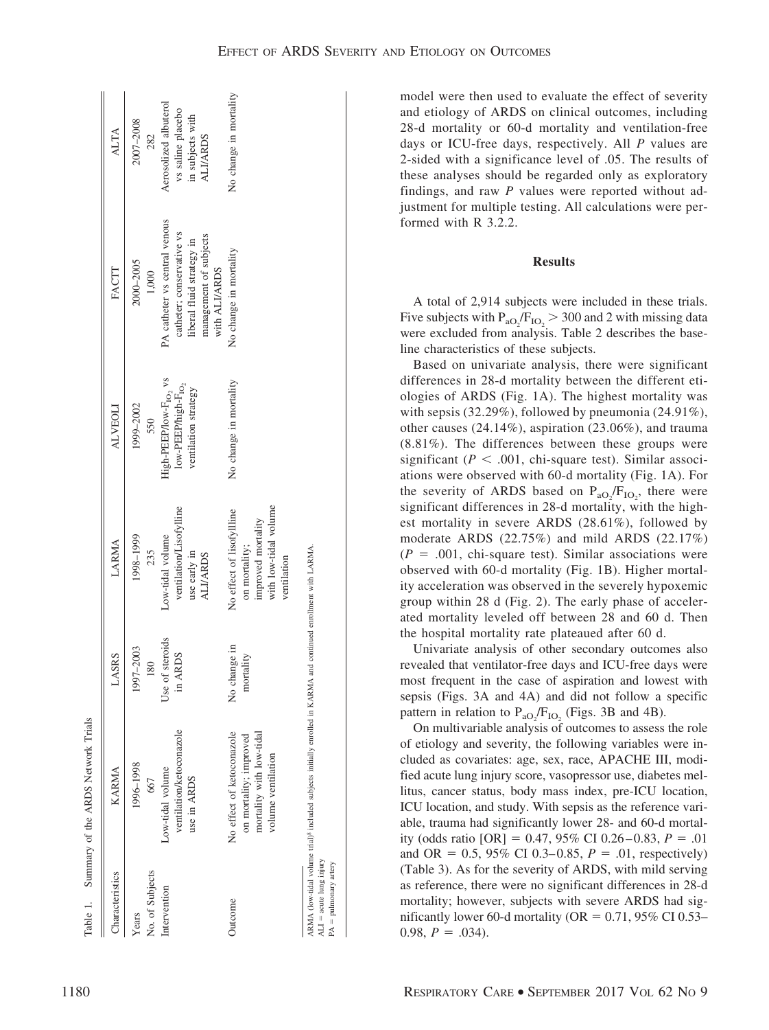| EFFECT OF ARDS SEVERITY AND ETIOLOGY ON OUTCOMES |
|--------------------------------------------------|
|--------------------------------------------------|

|                                    | MRN.        |
|------------------------------------|-------------|
|                                    |             |
| Summary of the ARDS Network Trials | <b>ARMA</b> |
| Table 1                            |             |

| Characteristics                                      | KARMA                                                                                                                        | LASRS                      | LARMA                                                                                                   | <b>ALVEOLI</b>                                                                               | FACTT                                                                                                                              | ALTA                                                                              |
|------------------------------------------------------|------------------------------------------------------------------------------------------------------------------------------|----------------------------|---------------------------------------------------------------------------------------------------------|----------------------------------------------------------------------------------------------|------------------------------------------------------------------------------------------------------------------------------------|-----------------------------------------------------------------------------------|
| No. of Subjects<br>Years                             | 1996-1998<br>667                                                                                                             | 1997-2003<br>180           | 1998-1999<br>235                                                                                        | 1999-2002<br>550                                                                             | 2000-2005<br>1,000                                                                                                                 | 2007-2008<br>282                                                                  |
| Intervention                                         | ventilation/ketoconazole<br>Low-tidal volume<br>use in ARDS                                                                  | Use of steroids<br>in ARDS | ventilation/Lisofylline<br>Low-tidal volume<br>use early in<br><b>ALI/ARDS</b>                          | High-PEEP/low-F <sub>102</sub> vs<br>low-PEEP/high-F <sub>10</sub> ,<br>ventilation strategy | PA catheter vs central venous<br>catheter; conservative vs<br>management of subjects<br>liberal fluid strategy in<br>with ALI/ARDS | Aerosolized albuterol<br>vs saline placebo<br>in subjects with<br><b>ALI/ARDS</b> |
| Jutcome                                              | No effect of ketoconazole<br>mortality with low-tidal<br>on mortality; improved<br>volume ventilation                        | No change in<br>mortality  | with low-tidal volume<br>No effect of lisofylline<br>improved mortality<br>on mortality;<br>ventilation | No change in mortality                                                                       | No change in mortality                                                                                                             | No change in mortality                                                            |
| $ALI = acute$ lung injury<br>$PA =$ pulmonary artery | ARMA (low-tidal volume trial) <sup>8</sup> included subjects initially enrolled in KARMA and continued enrollment with LARMA |                            |                                                                                                         |                                                                                              |                                                                                                                                    |                                                                                   |

model were then used to evaluate the effect of severity and etiology of ARDS on clinical outcomes, including 28-d mortality or 60-d mortality and ventilation-free days or ICU-free days, respectively. All *P* values are 2-sided with a significance level of .05. The results of these analyses should be regarded only as exploratory findings, and raw *P* values were reported without adjustment for multiple testing. All calculations were performed with R 3.2.2.

# **Results**

A total of 2,914 subjects were included in these trials. Five subjects with  $P_{aO_2}/F_{IO_2}$  > 300 and 2 with missing data were excluded from analysis. Table 2 describes the baseline characteristics of these subjects.

Based on univariate analysis, there were significant differences in 28-d mortality between the different etiologies of ARDS (Fig. 1A). The highest mortality was with sepsis (32.29%), followed by pneumonia (24.91%), other causes (24.14%), aspiration (23.06%), and trauma (8.81%). The differences between these groups were significant ( $P < .001$ , chi-square test). Similar associations were observed with 60-d mortality (Fig. 1A). For the severity of ARDS based on  $P_{aO_2}/F_{IO_2}$ , there were significant differences in 28-d mortality, with the highest mortality in severe ARDS (28.61%), followed by moderate ARDS (22.75%) and mild ARDS (22.17%)  $(P = .001,$  chi-square test). Similar associations were observed with 60-d mortality (Fig. 1B). Higher mortality acceleration was observed in the severely hypoxemic group within 28 d (Fig. 2). The early phase of accelerated mortality leveled off between 28 and 60 d. Then the hospital mortality rate plateaued after 60 d.

Univariate analysis of other secondary outcomes also revealed that ventilator-free days and ICU-free days were most frequent in the case of aspiration and lowest with sepsis (Figs. 3A and 4A) and did not follow a specific pattern in relation to  $P_{aO_2}/F_{IO_2}$  (Figs. 3B and 4B).

On multivariable analysis of outcomes to assess the role of etiology and severity, the following variables were included as covariates: age, sex, race, APACHE III, modified acute lung injury score, vasopressor use, diabetes mellitus, cancer status, body mass index, pre-ICU location, ICU location, and study. With sepsis as the reference variable, trauma had significantly lower 28- and 60-d mortality (odds ratio  $[OR] = 0.47, 95\% \text{ CI } 0.26 - 0.83, P = .01$ and OR =  $0.5$ , 95% CI 0.3–0.85,  $P = .01$ , respectively) (Table 3). As for the severity of ARDS, with mild serving as reference, there were no significant differences in 28-d mortality; however, subjects with severe ARDS had significantly lower 60-d mortality ( $OR = 0.71$ , 95% CI 0.53–  $0.98, P = .034$ .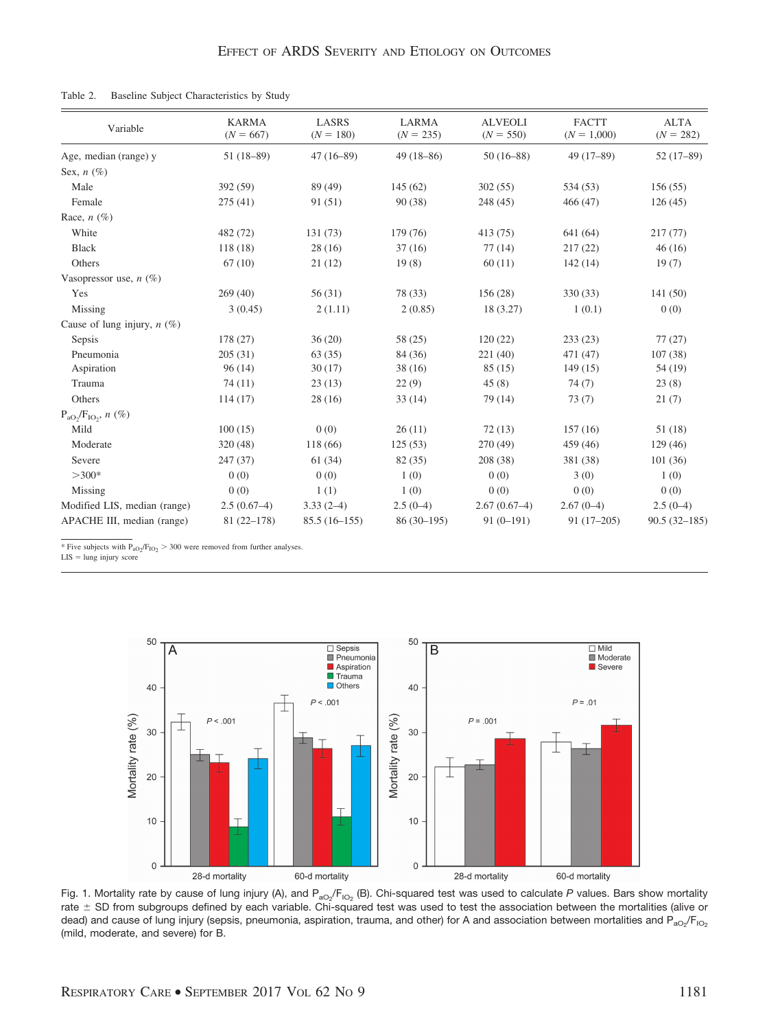Table 2. Baseline Subject Characteristics by Study

| Variable                      | <b>KARMA</b><br>$(N = 667)$ | <b>LASRS</b><br>$(N = 180)$ | <b>LARMA</b><br>$(N = 235)$ | <b>ALVEOLI</b><br>$(N = 550)$ | <b>FACTT</b><br>$(N = 1,000)$ | <b>ALTA</b><br>$(N = 282)$ |
|-------------------------------|-----------------------------|-----------------------------|-----------------------------|-------------------------------|-------------------------------|----------------------------|
| Age, median (range) y         | $51(18-89)$                 | $47(16-89)$                 | $49(18 - 86)$               | $50(16-88)$                   | $49(17-89)$                   | $52(17-89)$                |
| Sex, $n$ (%)                  |                             |                             |                             |                               |                               |                            |
| Male                          | 392 (59)                    | 89 (49)                     | 145(62)                     | 302(55)                       | 534 (53)                      | 156(55)                    |
| Female                        | 275(41)                     | 91 (51)                     | 90(38)                      | 248 (45)                      | 466 (47)                      | 126(45)                    |
| Race, $n$ (%)                 |                             |                             |                             |                               |                               |                            |
| White                         | 482 (72)                    | 131 (73)                    | 179 (76)                    | 413 (75)                      | 641 (64)                      | 217(77)                    |
| Black                         | 118(18)                     | 28(16)                      | 37(16)                      | 77(14)                        | 217(22)                       | 46(16)                     |
| Others                        | 67(10)                      | 21(12)                      | 19(8)                       | 60(11)                        | 142(14)                       | 19(7)                      |
| Vasopressor use, $n(\%)$      |                             |                             |                             |                               |                               |                            |
| Yes                           | 269(40)                     | 56(31)                      | 78 (33)                     | 156(28)                       | 330 (33)                      | 141(50)                    |
| Missing                       | 3(0.45)                     | 2(1.11)                     | 2(0.85)                     | 18 (3.27)                     | 1(0.1)                        | 0(0)                       |
| Cause of lung injury, $n$ (%) |                             |                             |                             |                               |                               |                            |
| Sepsis                        | 178 (27)                    | 36(20)                      | 58 (25)                     | 120(22)                       | 233(23)                       | 77(27)                     |
| Pneumonia                     | 205(31)                     | 63(35)                      | 84 (36)                     | 221(40)                       | 471 (47)                      | 107(38)                    |
| Aspiration                    | 96(14)                      | 30(17)                      | 38(16)                      | 85(15)                        | 149(15)                       | 54 (19)                    |
| Trauma                        | 74(11)                      | 23(13)                      | 22(9)                       | 45(8)                         | 74(7)                         | 23(8)                      |
| Others                        | 114(17)                     | 28(16)                      | 33(14)                      | 79 (14)                       | 73(7)                         | 21(7)                      |
| $P_{aO_2}/F_{IO_2}$ , n (%)   |                             |                             |                             |                               |                               |                            |
| Mild                          | 100(15)                     | 0(0)                        | 26(11)                      | 72(13)                        | 157(16)                       | 51 (18)                    |
| Moderate                      | 320(48)                     | 118 (66)                    | 125(53)                     | 270 (49)                      | 459 (46)                      | 129(46)                    |
| Severe                        | 247(37)                     | 61(34)                      | 82 (35)                     | 208 (38)                      | 381 (38)                      | 101(36)                    |
| $>300*$                       | 0(0)                        | 0(0)                        | 1(0)                        | 0(0)                          | 3(0)                          | 1(0)                       |
| Missing                       | 0(0)                        | 1(1)                        | 1(0)                        | 0(0)                          | 0(0)                          | 0(0)                       |
| Modified LIS, median (range)  | $2.5(0.67-4)$               | $3.33(2-4)$                 | $2.5(0-4)$                  | $2.67(0.67-4)$                | $2.67(0-4)$                   | $2.5(0-4)$                 |
| APACHE III, median (range)    | $81(22-178)$                | $85.5(16-155)$              | $86(30-195)$                | $91(0-191)$                   | $91(17-205)$                  | $90.5(32 - 185)$           |

\* Five subjects with  $P_{aO_2}/F_{IO_2}$  > 300 were removed from further analyses.

 $LIS =$  lung injury score



Fig. 1. Mortality rate by cause of lung injury (A), and P<sub>aO2</sub>/F<sub>lO2</sub> (B). Chi-squared test was used to calculate *P* values. Bars show mortality rate  $\pm$  SD from subgroups defined by each variable. Chi-squared test was used to test the association between the mortalities (alive or dead) and cause of lung injury (sepsis, pneumonia, aspiration, trauma, and other) for A and association between mortalities and P<sub>aO2</sub>/F<sub>iO2</sub> (mild, moderate, and severe) for B.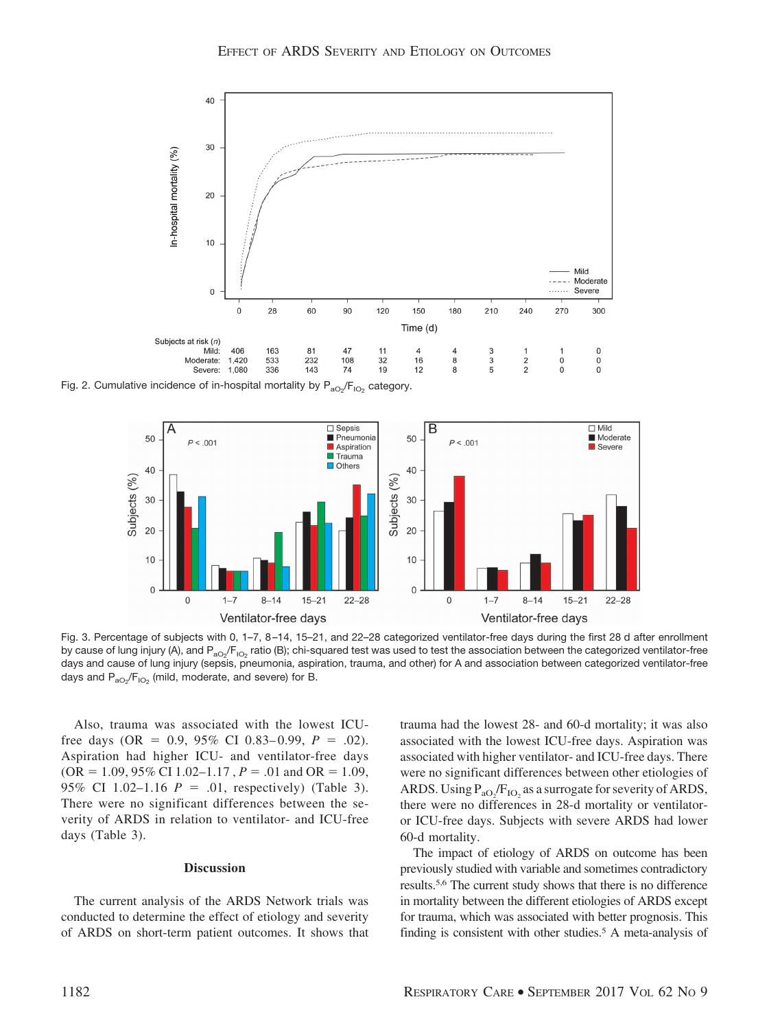

Fig. 2. Cumulative incidence of in-hospital mortality by  $\mathsf{P}_\mathsf{ao_2}/\mathsf{F}_\mathsf{IO_2}$  category.



Fig. 3. Percentage of subjects with 0, 1–7, 8 –14, 15–21, and 22–28 categorized ventilator-free days during the first 28 d after enrollment by cause of lung injury (A), and P<sub>aO2</sub>/F<sub>lO2</sub> ratio (B); chi-squared test was used to test the association between the categorized ventilator-free days and cause of lung injury (sepsis, pneumonia, aspiration, trauma, and other) for A and association between categorized ventilator-free days and  $\mathsf{P}_\mathsf{aO_2}\!/\mathsf{F}_\mathsf{IO_2}$  (mild, moderate, and severe) for B.

Also, trauma was associated with the lowest ICUfree days (OR =  $0.9, 95\%$  CI 0.83–0.99,  $P = .02$ ). Aspiration had higher ICU- and ventilator-free days  $(OR = 1.09, 95\% \text{ CI } 1.02 - 1.17, P = .01 \text{ and } OR = 1.09,$ 95% CI 1.02–1.16  $P = .01$ , respectively) (Table 3). There were no significant differences between the severity of ARDS in relation to ventilator- and ICU-free days (Table 3).

## **Discussion**

The current analysis of the ARDS Network trials was conducted to determine the effect of etiology and severity of ARDS on short-term patient outcomes. It shows that trauma had the lowest 28- and 60-d mortality; it was also associated with the lowest ICU-free days. Aspiration was associated with higher ventilator- and ICU-free days. There were no significant differences between other etiologies of ARDS. Using  $P_{aO_2}/F_{IO_2}$  as a surrogate for severity of ARDS, there were no differences in 28-d mortality or ventilatoror ICU-free days. Subjects with severe ARDS had lower 60-d mortality.

The impact of etiology of ARDS on outcome has been previously studied with variable and sometimes contradictory results.5,6 The current study shows that there is no difference in mortality between the different etiologies of ARDS except for trauma, which was associated with better prognosis. This finding is consistent with other studies.<sup>5</sup> A meta-analysis of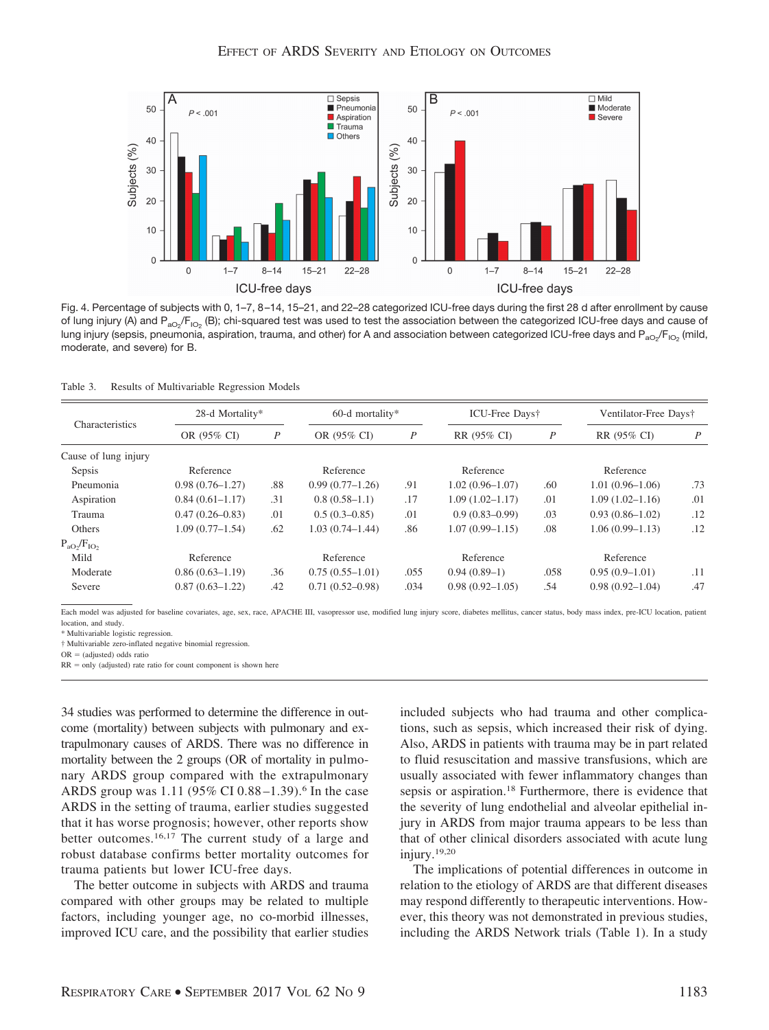

Fig. 4. Percentage of subjects with 0, 1–7, 8 –14, 15–21, and 22–28 categorized ICU-free days during the first 28 d after enrollment by cause of lung injury (A) and P<sub>aO2</sub>/F<sub>lO2</sub> (B); chi-squared test was used to test the association between the categorized ICU-free days and cause of lung injury (sepsis, pneumonia, aspiration, trauma, and other) for A and association between categorized ICU-free days and P $_{\rm aO_2}/\rm F_{iO_2}$  (mild, moderate, and severe) for B.

Table 3. Results of Multivariable Regression Models

|                      | 28-d Mortality*     |                  | $60-d$ mortality*   |      | ICU-Free Days†      |                  | Ventilator-Free Days† |     |
|----------------------|---------------------|------------------|---------------------|------|---------------------|------------------|-----------------------|-----|
| Characteristics      | OR (95% CI)         | $\boldsymbol{P}$ | OR (95% CI)         | P    | RR (95% CI)         | $\boldsymbol{P}$ | RR (95% CI)           | P   |
| Cause of lung injury |                     |                  |                     |      |                     |                  |                       |     |
| Sepsis               | Reference           |                  | Reference           |      | Reference           |                  | Reference             |     |
| Pneumonia            | $0.98(0.76 - 1.27)$ | .88              | $0.99(0.77-1.26)$   | .91  | $1.02(0.96 - 1.07)$ | .60              | $1.01(0.96 - 1.06)$   | .73 |
| Aspiration           | $0.84(0.61-1.17)$   | .31              | $0.8(0.58-1.1)$     | .17  | $1.09(1.02 - 1.17)$ | .01              | $1.09(1.02 - 1.16)$   | .01 |
| Trauma               | $0.47(0.26 - 0.83)$ | .01              | $0.5(0.3-0.85)$     | .01  | $0.9(0.83 - 0.99)$  | .03              | $0.93(0.86 - 1.02)$   | .12 |
| Others               | $1.09(0.77-1.54)$   | .62              | $1.03(0.74 - 1.44)$ | .86  | $1.07(0.99 - 1.15)$ | .08              | $1.06(0.99 - 1.13)$   | .12 |
| $P_{aO_2}/F_{IO_2}$  |                     |                  |                     |      |                     |                  |                       |     |
| Mild                 | Reference           |                  | Reference           |      | Reference           |                  | Reference             |     |
| Moderate             | $0.86(0.63-1.19)$   | .36              | $0.75(0.55-1.01)$   | .055 | $0.94(0.89-1)$      | .058             | $0.95(0.9-1.01)$      | .11 |
| Severe               | $0.87(0.63 - 1.22)$ | .42              | $0.71(0.52 - 0.98)$ | .034 | $0.98(0.92 - 1.05)$ | .54              | $0.98(0.92 - 1.04)$   | .47 |

Each model was adjusted for baseline covariates, age, sex, race, APACHE III, vasopressor use, modified lung injury score, diabetes mellitus, cancer status, body mass index, pre-ICU location, patient location, and study.

\* Multivariable logistic regression.

† Multivariable zero-inflated negative binomial regression.

 $OR = (adjusted) odds ratio$ 

 $RR = only$  (adjusted) rate ratio for count component is shown here

34 studies was performed to determine the difference in outcome (mortality) between subjects with pulmonary and extrapulmonary causes of ARDS. There was no difference in mortality between the 2 groups (OR of mortality in pulmonary ARDS group compared with the extrapulmonary ARDS group was 1.11 (95% CI 0.88-1.39).<sup>6</sup> In the case ARDS in the setting of trauma, earlier studies suggested that it has worse prognosis; however, other reports show better outcomes.16,17 The current study of a large and robust database confirms better mortality outcomes for trauma patients but lower ICU-free days.

The better outcome in subjects with ARDS and trauma compared with other groups may be related to multiple factors, including younger age, no co-morbid illnesses, improved ICU care, and the possibility that earlier studies included subjects who had trauma and other complications, such as sepsis, which increased their risk of dying. Also, ARDS in patients with trauma may be in part related to fluid resuscitation and massive transfusions, which are usually associated with fewer inflammatory changes than sepsis or aspiration.18 Furthermore, there is evidence that the severity of lung endothelial and alveolar epithelial injury in ARDS from major trauma appears to be less than that of other clinical disorders associated with acute lung injury.19,20

The implications of potential differences in outcome in relation to the etiology of ARDS are that different diseases may respond differently to therapeutic interventions. However, this theory was not demonstrated in previous studies, including the ARDS Network trials (Table 1). In a study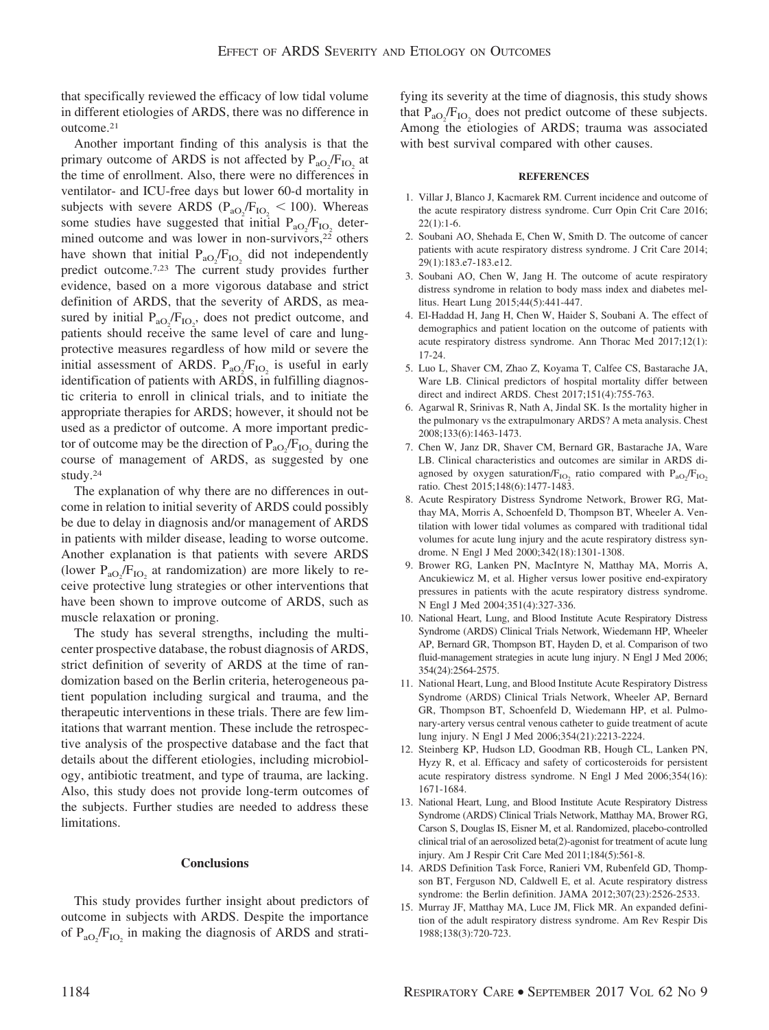that specifically reviewed the efficacy of low tidal volume in different etiologies of ARDS, there was no difference in outcome.21

Another important finding of this analysis is that the primary outcome of ARDS is not affected by  $P_{aO_2}/F_{IO_2}$  at the time of enrollment. Also, there were no differences in ventilator- and ICU-free days but lower 60-d mortality in subjects with severe ARDS ( $P_{aO_2}/F_{IO_2}$  < 100). Whereas some studies have suggested that initial  $P_{aO_2}/F_{IO_2}$  determined outcome and was lower in non-survivors, $2\overline{2}$  others have shown that initial  $P_{aO_2}/F_{IO_2}$  did not independently predict outcome.7,23 The current study provides further evidence, based on a more vigorous database and strict definition of ARDS, that the severity of ARDS, as measured by initial  $P_{aO_2}/F_{IO_2}$ , does not predict outcome, and patients should receive the same level of care and lungprotective measures regardless of how mild or severe the initial assessment of ARDS.  $P_{aO_2}/F_{IO_2}$  is useful in early identification of patients with ARDS, in fulfilling diagnostic criteria to enroll in clinical trials, and to initiate the appropriate therapies for ARDS; however, it should not be used as a predictor of outcome. A more important predictor of outcome may be the direction of  $P_{aO_2}/F_{IO_2}$  during the course of management of ARDS, as suggested by one study.24

The explanation of why there are no differences in outcome in relation to initial severity of ARDS could possibly be due to delay in diagnosis and/or management of ARDS in patients with milder disease, leading to worse outcome. Another explanation is that patients with severe ARDS (lower  $P_{aO_2}/F_{IO_2}$  at randomization) are more likely to receive protective lung strategies or other interventions that have been shown to improve outcome of ARDS, such as muscle relaxation or proning.

The study has several strengths, including the multicenter prospective database, the robust diagnosis of ARDS, strict definition of severity of ARDS at the time of randomization based on the Berlin criteria, heterogeneous patient population including surgical and trauma, and the therapeutic interventions in these trials. There are few limitations that warrant mention. These include the retrospective analysis of the prospective database and the fact that details about the different etiologies, including microbiology, antibiotic treatment, and type of trauma, are lacking. Also, this study does not provide long-term outcomes of the subjects. Further studies are needed to address these limitations.

### **Conclusions**

This study provides further insight about predictors of outcome in subjects with ARDS. Despite the importance of  $P_{aO_2}/F_{IO_2}$  in making the diagnosis of ARDS and stratifying its severity at the time of diagnosis, this study shows that  $P_{aO_2}/F_{IO_2}$  does not predict outcome of these subjects. Among the etiologies of ARDS; trauma was associated with best survival compared with other causes.

#### **REFERENCES**

- 1. Villar J, Blanco J, Kacmarek RM. Current incidence and outcome of the acute respiratory distress syndrome. Curr Opin Crit Care 2016;  $22(1):1-6.$
- 2. Soubani AO, Shehada E, Chen W, Smith D. The outcome of cancer patients with acute respiratory distress syndrome. J Crit Care 2014; 29(1):183.e7-183.e12.
- 3. Soubani AO, Chen W, Jang H. The outcome of acute respiratory distress syndrome in relation to body mass index and diabetes mellitus. Heart Lung 2015;44(5):441-447.
- 4. El-Haddad H, Jang H, Chen W, Haider S, Soubani A. The effect of demographics and patient location on the outcome of patients with acute respiratory distress syndrome. Ann Thorac Med 2017;12(1): 17-24.
- 5. Luo L, Shaver CM, Zhao Z, Koyama T, Calfee CS, Bastarache JA, Ware LB. Clinical predictors of hospital mortality differ between direct and indirect ARDS. Chest 2017;151(4):755-763.
- 6. Agarwal R, Srinivas R, Nath A, Jindal SK. Is the mortality higher in the pulmonary vs the extrapulmonary ARDS? A meta analysis. Chest 2008;133(6):1463-1473.
- 7. Chen W, Janz DR, Shaver CM, Bernard GR, Bastarache JA, Ware LB. Clinical characteristics and outcomes are similar in ARDS diagnosed by oxygen saturation/ $F_{IO_2}$  ratio compared with  $P_{aO_2}/F_{IO_2}$ ratio. Chest 2015;148(6):1477-1483.
- 8. Acute Respiratory Distress Syndrome Network, Brower RG, Matthay MA, Morris A, Schoenfeld D, Thompson BT, Wheeler A. Ventilation with lower tidal volumes as compared with traditional tidal volumes for acute lung injury and the acute respiratory distress syndrome. N Engl J Med 2000;342(18):1301-1308.
- 9. Brower RG, Lanken PN, MacIntyre N, Matthay MA, Morris A, Ancukiewicz M, et al. Higher versus lower positive end-expiratory pressures in patients with the acute respiratory distress syndrome. N Engl J Med 2004;351(4):327-336.
- 10. National Heart, Lung, and Blood Institute Acute Respiratory Distress Syndrome (ARDS) Clinical Trials Network, Wiedemann HP, Wheeler AP, Bernard GR, Thompson BT, Hayden D, et al. Comparison of two fluid-management strategies in acute lung injury. N Engl J Med 2006; 354(24):2564-2575.
- 11. National Heart, Lung, and Blood Institute Acute Respiratory Distress Syndrome (ARDS) Clinical Trials Network, Wheeler AP, Bernard GR, Thompson BT, Schoenfeld D, Wiedemann HP, et al. Pulmonary-artery versus central venous catheter to guide treatment of acute lung injury. N Engl J Med 2006;354(21):2213-2224.
- 12. Steinberg KP, Hudson LD, Goodman RB, Hough CL, Lanken PN, Hyzy R, et al. Efficacy and safety of corticosteroids for persistent acute respiratory distress syndrome. N Engl J Med 2006;354(16): 1671-1684.
- 13. National Heart, Lung, and Blood Institute Acute Respiratory Distress Syndrome (ARDS) Clinical Trials Network, Matthay MA, Brower RG, Carson S, Douglas IS, Eisner M, et al. Randomized, placebo-controlled clinical trial of an aerosolized beta(2)-agonist for treatment of acute lung injury. Am J Respir Crit Care Med 2011;184(5):561-8.
- 14. ARDS Definition Task Force, Ranieri VM, Rubenfeld GD, Thompson BT, Ferguson ND, Caldwell E, et al. Acute respiratory distress syndrome: the Berlin definition. JAMA 2012;307(23):2526-2533.
- 15. Murray JF, Matthay MA, Luce JM, Flick MR. An expanded definition of the adult respiratory distress syndrome. Am Rev Respir Dis 1988;138(3):720-723.